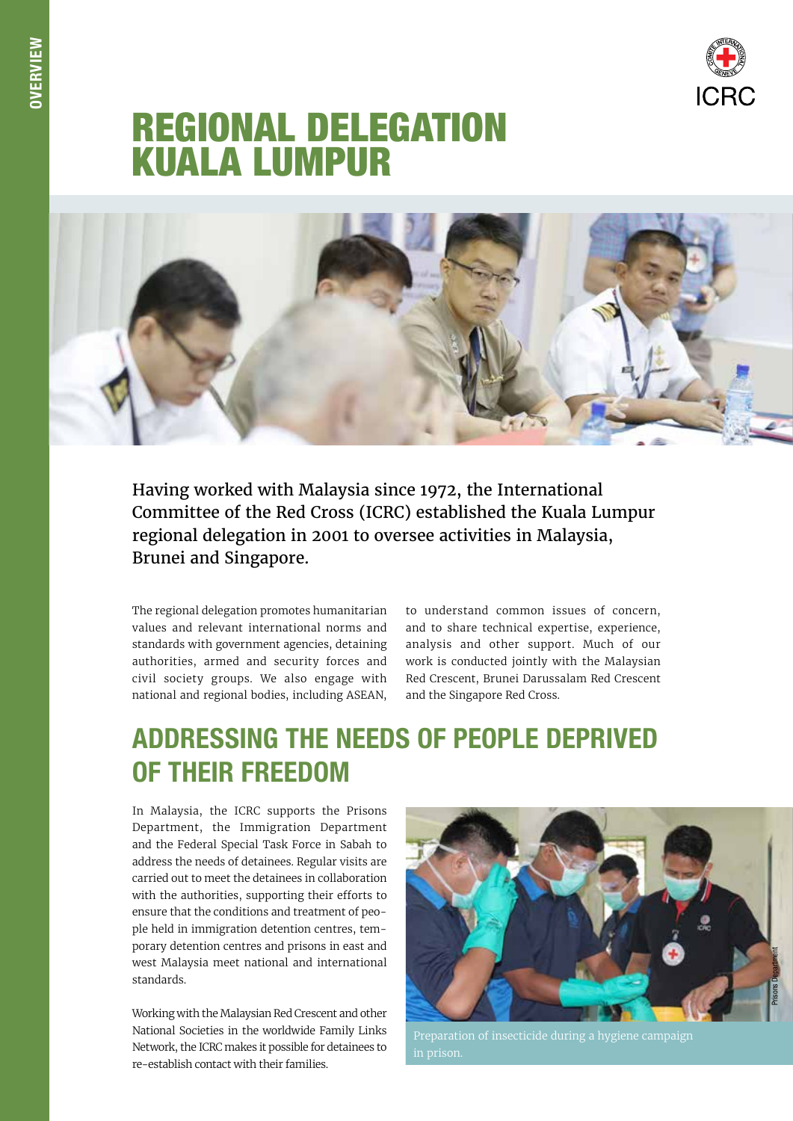

# REGIONAL DELEGATION KUALA LUMPUR



Having worked with Malaysia since 1972, the International Committee of the Red Cross (ICRC) established the Kuala Lumpur regional delegation in 2001 to oversee activities in Malaysia, Brunei and Singapore.

The regional delegation promotes humanitarian values and relevant international norms and standards with government agencies, detaining authorities, armed and security forces and civil society groups. We also engage with national and regional bodies, including ASEAN,

to understand common issues of concern, and to share technical expertise, experience, analysis and other support. Much of our work is conducted jointly with the Malaysian Red Crescent, Brunei Darussalam Red Crescent and the Singapore Red Cross.

## ADDRESSING THE NEEDS OF PEOPLE DEPRIVED OF THEIR FREEDOM

In Malaysia, the ICRC supports the Prisons Department, the Immigration Department and the Federal Special Task Force in Sabah to address the needs of detainees. Regular visits are carried out to meet the detainees in collaboration with the authorities, supporting their efforts to ensure that the conditions and treatment of people held in immigration detention centres, temporary detention centres and prisons in east and west Malaysia meet national and international standards.

Working with the Malaysian Red Crescent and other National Societies in the worldwide Family Links Network, the ICRC makes it possible for detainees to re-establish contact with their families.

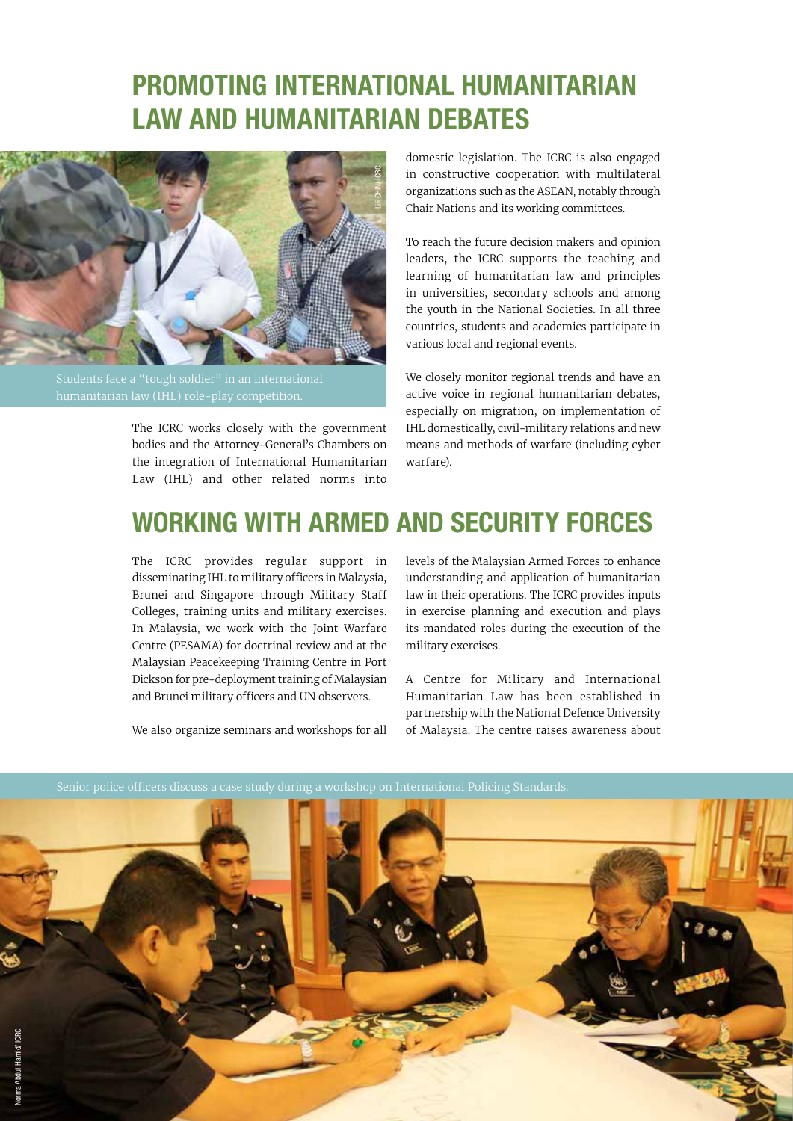# PROMOTING INTERNATIONAL HUMANITARIAN LAW AND HUMANITARIAN DEBATES



Students face a "tough soldier" in an international

The ICRC works closely with the government bodies and the Attorney-General's Chambers on the integration of International Humanitarian Law (IHL) and other related norms into

domestic legislation. The ICRC is also engaged in constructive cooperation with multilateral organizations such as the ASEAN, notably through Chair Nations and its working committees.

To reach the future decision makers and opinion leaders, the ICRC supports the teaching and learning of humanitarian law and principles in universities, secondary schools and among the youth in the National Societies. In all three countries, students and academics participate in various local and regional events.

We closely monitor regional trends and have an active voice in regional humanitarian debates, especially on migration, on implementation of IHL domestically, civil-military relations and new means and methods of warfare (including cyber warfare).

### WORKING WITH ARMED AND SECURITY FORCES

The ICRC provides regular support in disseminating IHL to military officers in Malaysia, Brunei and Singapore through Military Staff Colleges, training units and military exercises. In Malaysia, we work with the Joint Warfare Centre (PESAMA) for doctrinal review and at the Malaysian Peacekeeping Training Centre in Port Dickson for pre-deployment training of Malaysian and Brunei military officers and UN observers.

We also organize seminars and workshops for all

levels of the Malaysian Armed Forces to enhance understanding and application of humanitarian law in their operations. The ICRC provides inputs in exercise planning and execution and plays its mandated roles during the execution of the military exercises.

A Centre for Military and International Humanitarian Law has been established in partnership with the National Defence University of Malaysia. The centre raises awareness about

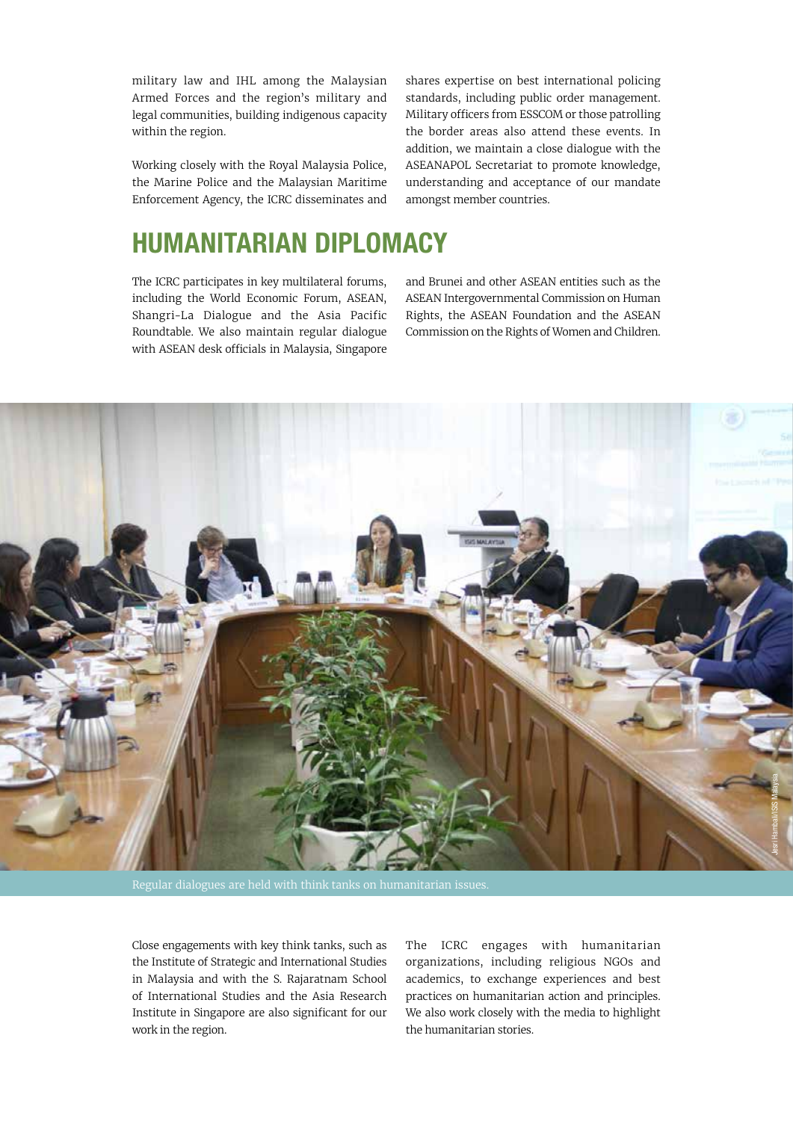military law and IHL among the Malaysian Armed Forces and the region's military and legal communities, building indigenous capacity within the region.

Working closely with the Royal Malaysia Police, the Marine Police and the Malaysian Maritime Enforcement Agency, the ICRC disseminates and shares expertise on best international policing standards, including public order management. Military officers from ESSCOM or those patrolling the border areas also attend these events. In addition, we maintain a close dialogue with the ASEANAPOL Secretariat to promote knowledge, understanding and acceptance of our mandate amongst member countries.

#### HUMANITARIAN DIPLOMACY

The ICRC participates in key multilateral forums, including the World Economic Forum, ASEAN, Shangri-La Dialogue and the Asia Pacific Roundtable. We also maintain regular dialogue with ASEAN desk officials in Malaysia, Singapore

and Brunei and other ASEAN entities such as the ASEAN Intergovernmental Commission on Human Rights, the ASEAN Foundation and the ASEAN Commission on the Rights of Women and Children.



Close engagements with key think tanks, such as the Institute of Strategic and International Studies in Malaysia and with the S. Rajaratnam School of International Studies and the Asia Research Institute in Singapore are also significant for our work in the region.

The ICRC engages with humanitarian organizations, including religious NGOs and academics, to exchange experiences and best practices on humanitarian action and principles. We also work closely with the media to highlight the humanitarian stories.